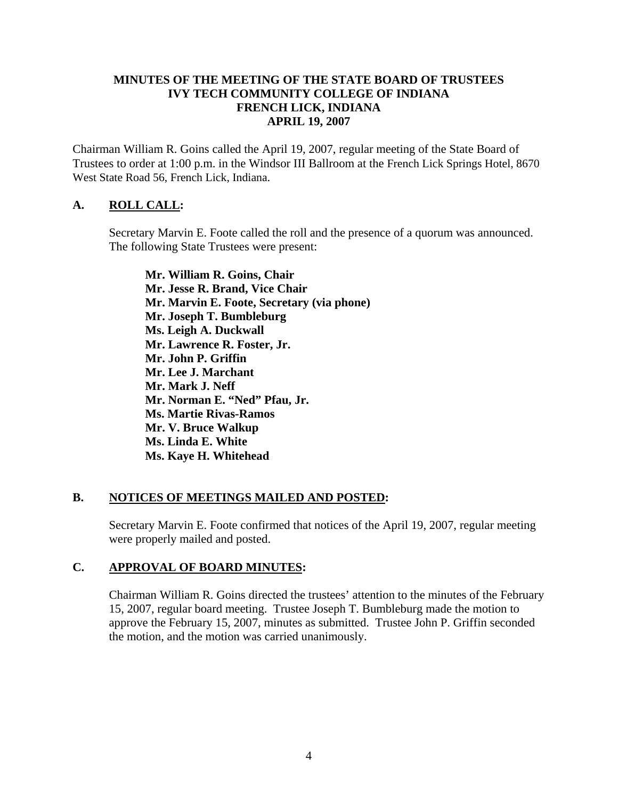#### **MINUTES OF THE MEETING OF THE STATE BOARD OF TRUSTEES IVY TECH COMMUNITY COLLEGE OF INDIANA FRENCH LICK, INDIANA APRIL 19, 2007**

Chairman William R. Goins called the April 19, 2007, regular meeting of the State Board of Trustees to order at 1:00 p.m. in the Windsor III Ballroom at the French Lick Springs Hotel, 8670 West State Road 56, French Lick, Indiana.

#### **A. ROLL CALL:**

Secretary Marvin E. Foote called the roll and the presence of a quorum was announced. The following State Trustees were present:

**Mr. William R. Goins, Chair Mr. Jesse R. Brand, Vice Chair Mr. Marvin E. Foote, Secretary (via phone) Mr. Joseph T. Bumbleburg Ms. Leigh A. Duckwall Mr. Lawrence R. Foster, Jr. Mr. John P. Griffin Mr. Lee J. Marchant Mr. Mark J. Neff Mr. Norman E. "Ned" Pfau, Jr. Ms. Martie Rivas-Ramos Mr. V. Bruce Walkup Ms. Linda E. White Ms. Kaye H. Whitehead** 

#### **B. NOTICES OF MEETINGS MAILED AND POSTED:**

Secretary Marvin E. Foote confirmed that notices of the April 19, 2007, regular meeting were properly mailed and posted.

## **C. APPROVAL OF BOARD MINUTES:**

Chairman William R. Goins directed the trustees' attention to the minutes of the February 15, 2007, regular board meeting. Trustee Joseph T. Bumbleburg made the motion to approve the February 15, 2007, minutes as submitted. Trustee John P. Griffin seconded the motion, and the motion was carried unanimously.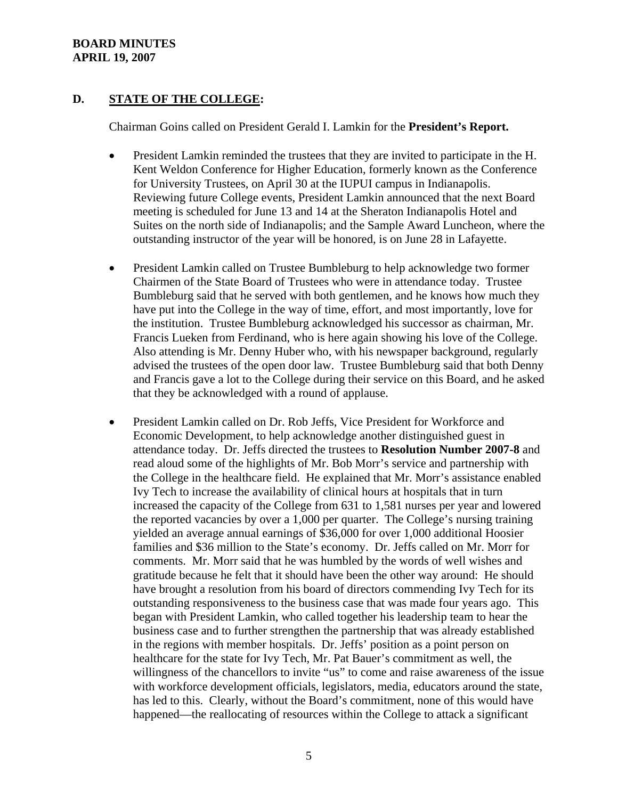#### **BOARD MINUTES APRIL 19, 2007**

## **D. STATE OF THE COLLEGE:**

Chairman Goins called on President Gerald I. Lamkin for the **President's Report.**

- President Lamkin reminded the trustees that they are invited to participate in the H. Kent Weldon Conference for Higher Education, formerly known as the Conference for University Trustees, on April 30 at the IUPUI campus in Indianapolis. Reviewing future College events, President Lamkin announced that the next Board meeting is scheduled for June 13 and 14 at the Sheraton Indianapolis Hotel and Suites on the north side of Indianapolis; and the Sample Award Luncheon, where the outstanding instructor of the year will be honored, is on June 28 in Lafayette.
- President Lamkin called on Trustee Bumbleburg to help acknowledge two former Chairmen of the State Board of Trustees who were in attendance today. Trustee Bumbleburg said that he served with both gentlemen, and he knows how much they have put into the College in the way of time, effort, and most importantly, love for the institution. Trustee Bumbleburg acknowledged his successor as chairman, Mr. Francis Lueken from Ferdinand, who is here again showing his love of the College. Also attending is Mr. Denny Huber who, with his newspaper background, regularly advised the trustees of the open door law. Trustee Bumbleburg said that both Denny and Francis gave a lot to the College during their service on this Board, and he asked that they be acknowledged with a round of applause.
- President Lamkin called on Dr. Rob Jeffs, Vice President for Workforce and Economic Development, to help acknowledge another distinguished guest in attendance today. Dr. Jeffs directed the trustees to **Resolution Number 2007-8** and read aloud some of the highlights of Mr. Bob Morr's service and partnership with the College in the healthcare field. He explained that Mr. Morr's assistance enabled Ivy Tech to increase the availability of clinical hours at hospitals that in turn increased the capacity of the College from 631 to 1,581 nurses per year and lowered the reported vacancies by over a 1,000 per quarter. The College's nursing training yielded an average annual earnings of \$36,000 for over 1,000 additional Hoosier families and \$36 million to the State's economy. Dr. Jeffs called on Mr. Morr for comments. Mr. Morr said that he was humbled by the words of well wishes and gratitude because he felt that it should have been the other way around: He should have brought a resolution from his board of directors commending Ivy Tech for its outstanding responsiveness to the business case that was made four years ago. This began with President Lamkin, who called together his leadership team to hear the business case and to further strengthen the partnership that was already established in the regions with member hospitals. Dr. Jeffs' position as a point person on healthcare for the state for Ivy Tech, Mr. Pat Bauer's commitment as well, the willingness of the chancellors to invite "us" to come and raise awareness of the issue with workforce development officials, legislators, media, educators around the state, has led to this. Clearly, without the Board's commitment, none of this would have happened—the reallocating of resources within the College to attack a significant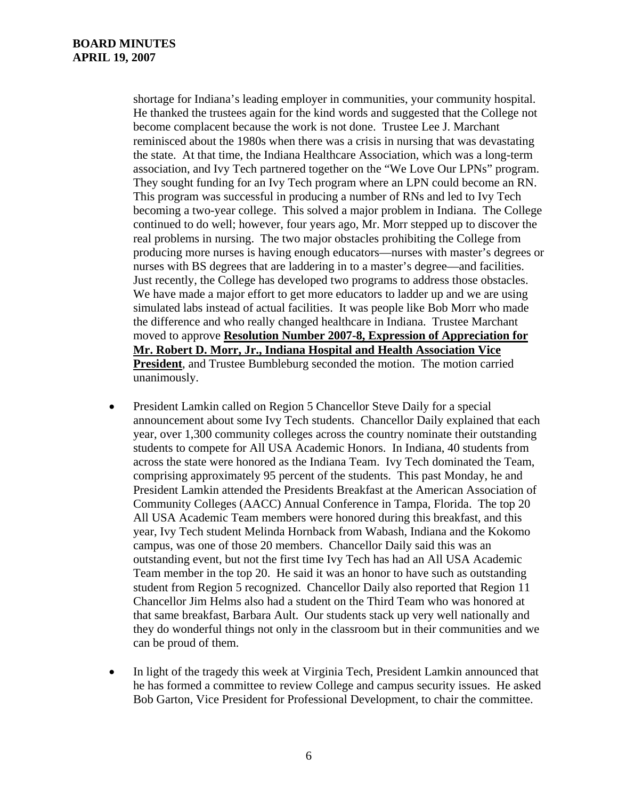shortage for Indiana's leading employer in communities, your community hospital. He thanked the trustees again for the kind words and suggested that the College not become complacent because the work is not done. Trustee Lee J. Marchant reminisced about the 1980s when there was a crisis in nursing that was devastating the state. At that time, the Indiana Healthcare Association, which was a long-term association, and Ivy Tech partnered together on the "We Love Our LPNs" program. They sought funding for an Ivy Tech program where an LPN could become an RN. This program was successful in producing a number of RNs and led to Ivy Tech becoming a two-year college. This solved a major problem in Indiana. The College continued to do well; however, four years ago, Mr. Morr stepped up to discover the real problems in nursing. The two major obstacles prohibiting the College from producing more nurses is having enough educators—nurses with master's degrees or nurses with BS degrees that are laddering in to a master's degree—and facilities. Just recently, the College has developed two programs to address those obstacles. We have made a major effort to get more educators to ladder up and we are using simulated labs instead of actual facilities. It was people like Bob Morr who made the difference and who really changed healthcare in Indiana. Trustee Marchant moved to approve **Resolution Number 2007-8, Expression of Appreciation for Mr. Robert D. Morr, Jr., Indiana Hospital and Health Association Vice President**, and Trustee Bumbleburg seconded the motion. The motion carried unanimously.

- President Lamkin called on Region 5 Chancellor Steve Daily for a special announcement about some Ivy Tech students. Chancellor Daily explained that each year, over 1,300 community colleges across the country nominate their outstanding students to compete for All USA Academic Honors. In Indiana, 40 students from across the state were honored as the Indiana Team. Ivy Tech dominated the Team, comprising approximately 95 percent of the students. This past Monday, he and President Lamkin attended the Presidents Breakfast at the American Association of Community Colleges (AACC) Annual Conference in Tampa, Florida. The top 20 All USA Academic Team members were honored during this breakfast, and this year, Ivy Tech student Melinda Hornback from Wabash, Indiana and the Kokomo campus, was one of those 20 members. Chancellor Daily said this was an outstanding event, but not the first time Ivy Tech has had an All USA Academic Team member in the top 20. He said it was an honor to have such as outstanding student from Region 5 recognized. Chancellor Daily also reported that Region 11 Chancellor Jim Helms also had a student on the Third Team who was honored at that same breakfast, Barbara Ault. Our students stack up very well nationally and they do wonderful things not only in the classroom but in their communities and we can be proud of them.
- In light of the tragedy this week at Virginia Tech, President Lamkin announced that he has formed a committee to review College and campus security issues. He asked Bob Garton, Vice President for Professional Development, to chair the committee.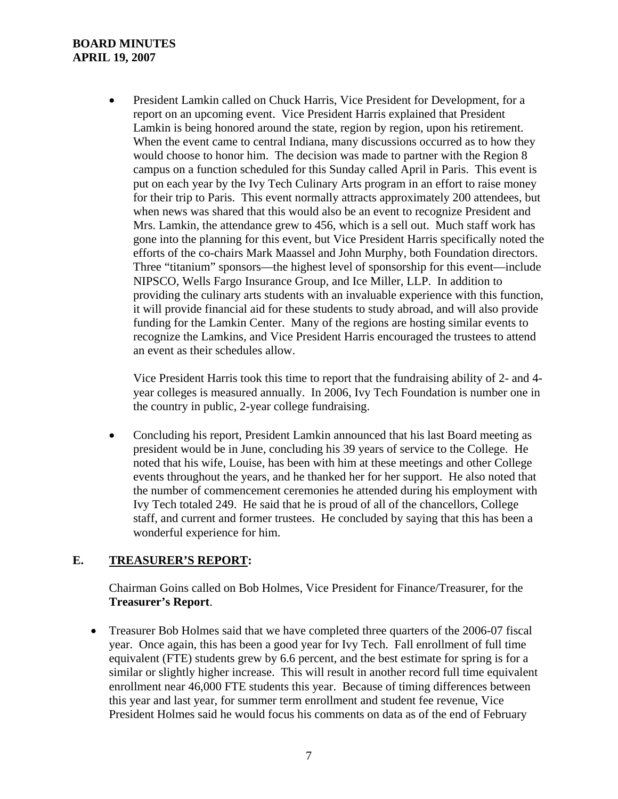#### **BOARD MINUTES APRIL 19, 2007**

• President Lamkin called on Chuck Harris, Vice President for Development, for a report on an upcoming event. Vice President Harris explained that President Lamkin is being honored around the state, region by region, upon his retirement. When the event came to central Indiana, many discussions occurred as to how they would choose to honor him. The decision was made to partner with the Region 8 campus on a function scheduled for this Sunday called April in Paris. This event is put on each year by the Ivy Tech Culinary Arts program in an effort to raise money for their trip to Paris. This event normally attracts approximately 200 attendees, but when news was shared that this would also be an event to recognize President and Mrs. Lamkin, the attendance grew to 456, which is a sell out. Much staff work has gone into the planning for this event, but Vice President Harris specifically noted the efforts of the co-chairs Mark Maassel and John Murphy, both Foundation directors. Three "titanium" sponsors—the highest level of sponsorship for this event—include NIPSCO, Wells Fargo Insurance Group, and Ice Miller, LLP. In addition to providing the culinary arts students with an invaluable experience with this function, it will provide financial aid for these students to study abroad, and will also provide funding for the Lamkin Center. Many of the regions are hosting similar events to recognize the Lamkins, and Vice President Harris encouraged the trustees to attend an event as their schedules allow.

Vice President Harris took this time to report that the fundraising ability of 2- and 4 year colleges is measured annually. In 2006, Ivy Tech Foundation is number one in the country in public, 2-year college fundraising.

• Concluding his report, President Lamkin announced that his last Board meeting as president would be in June, concluding his 39 years of service to the College. He noted that his wife, Louise, has been with him at these meetings and other College events throughout the years, and he thanked her for her support. He also noted that the number of commencement ceremonies he attended during his employment with Ivy Tech totaled 249. He said that he is proud of all of the chancellors, College staff, and current and former trustees. He concluded by saying that this has been a wonderful experience for him.

## **E. TREASURER'S REPORT:**

Chairman Goins called on Bob Holmes, Vice President for Finance/Treasurer, for the **Treasurer's Report**.

• Treasurer Bob Holmes said that we have completed three quarters of the 2006-07 fiscal year. Once again, this has been a good year for Ivy Tech. Fall enrollment of full time equivalent (FTE) students grew by 6.6 percent, and the best estimate for spring is for a similar or slightly higher increase. This will result in another record full time equivalent enrollment near 46,000 FTE students this year. Because of timing differences between this year and last year, for summer term enrollment and student fee revenue, Vice President Holmes said he would focus his comments on data as of the end of February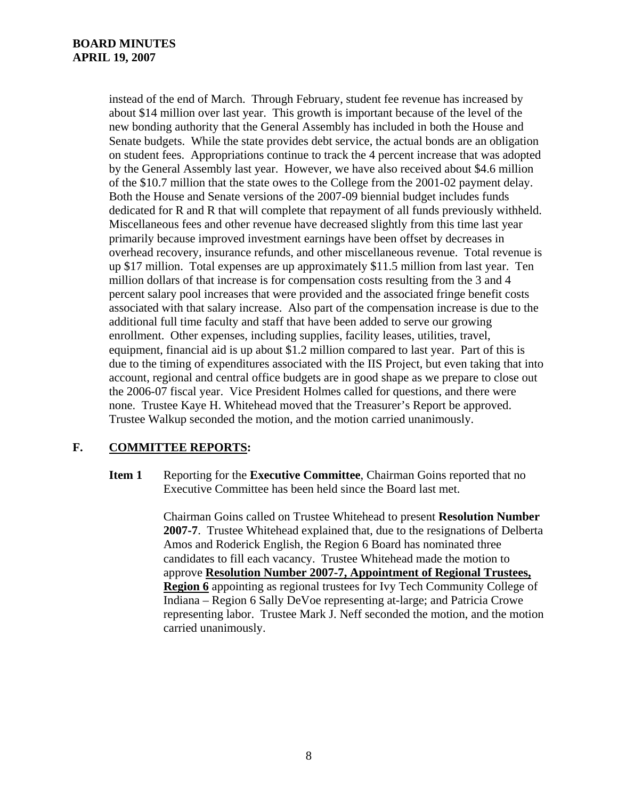instead of the end of March. Through February, student fee revenue has increased by about \$14 million over last year. This growth is important because of the level of the new bonding authority that the General Assembly has included in both the House and Senate budgets. While the state provides debt service, the actual bonds are an obligation on student fees. Appropriations continue to track the 4 percent increase that was adopted by the General Assembly last year. However, we have also received about \$4.6 million of the \$10.7 million that the state owes to the College from the 2001-02 payment delay. Both the House and Senate versions of the 2007-09 biennial budget includes funds dedicated for R and R that will complete that repayment of all funds previously withheld. Miscellaneous fees and other revenue have decreased slightly from this time last year primarily because improved investment earnings have been offset by decreases in overhead recovery, insurance refunds, and other miscellaneous revenue. Total revenue is up \$17 million. Total expenses are up approximately \$11.5 million from last year. Ten million dollars of that increase is for compensation costs resulting from the 3 and 4 percent salary pool increases that were provided and the associated fringe benefit costs associated with that salary increase. Also part of the compensation increase is due to the additional full time faculty and staff that have been added to serve our growing enrollment. Other expenses, including supplies, facility leases, utilities, travel, equipment, financial aid is up about \$1.2 million compared to last year. Part of this is due to the timing of expenditures associated with the IIS Project, but even taking that into account, regional and central office budgets are in good shape as we prepare to close out the 2006-07 fiscal year. Vice President Holmes called for questions, and there were none. Trustee Kaye H. Whitehead moved that the Treasurer's Report be approved. Trustee Walkup seconded the motion, and the motion carried unanimously.

## **F. COMMITTEE REPORTS:**

**Item 1** Reporting for the **Executive Committee**, Chairman Goins reported that no Executive Committee has been held since the Board last met.

> Chairman Goins called on Trustee Whitehead to present **Resolution Number 2007-7**. Trustee Whitehead explained that, due to the resignations of Delberta Amos and Roderick English, the Region 6 Board has nominated three candidates to fill each vacancy. Trustee Whitehead made the motion to approve **Resolution Number 2007-7, Appointment of Regional Trustees, Region 6** appointing as regional trustees for Ivy Tech Community College of Indiana – Region 6 Sally DeVoe representing at-large; and Patricia Crowe representing labor. Trustee Mark J. Neff seconded the motion, and the motion carried unanimously.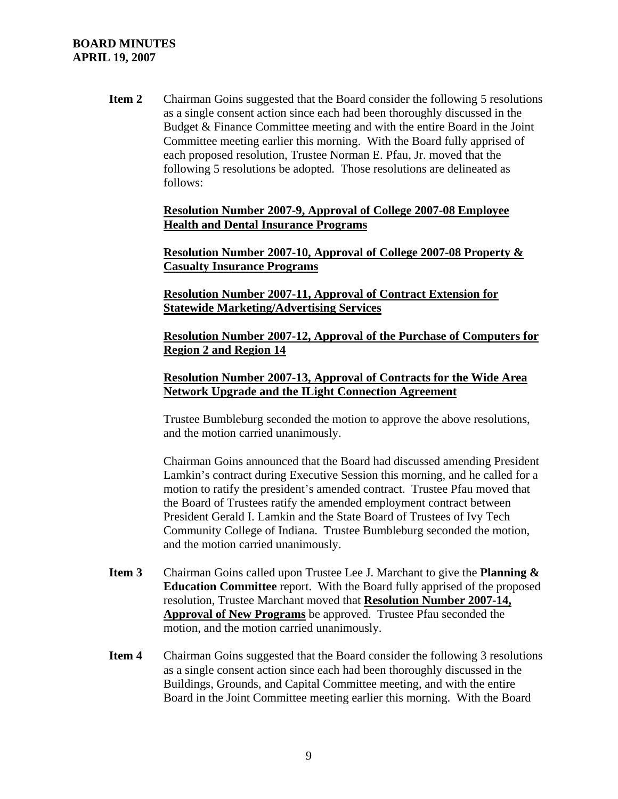#### **BOARD MINUTES APRIL 19, 2007**

**Item 2** Chairman Goins suggested that the Board consider the following 5 resolutions as a single consent action since each had been thoroughly discussed in the Budget & Finance Committee meeting and with the entire Board in the Joint Committee meeting earlier this morning. With the Board fully apprised of each proposed resolution, Trustee Norman E. Pfau, Jr. moved that the following 5 resolutions be adopted. Those resolutions are delineated as follows:

> **Resolution Number 2007-9, Approval of College 2007-08 Employee Health and Dental Insurance Programs**

**Resolution Number 2007-10, Approval of College 2007-08 Property & Casualty Insurance Programs**

**Resolution Number 2007-11, Approval of Contract Extension for Statewide Marketing/Advertising Services**

**Resolution Number 2007-12, Approval of the Purchase of Computers for Region 2 and Region 14**

#### **Resolution Number 2007-13, Approval of Contracts for the Wide Area Network Upgrade and the ILight Connection Agreement**

Trustee Bumbleburg seconded the motion to approve the above resolutions, and the motion carried unanimously.

Chairman Goins announced that the Board had discussed amending President Lamkin's contract during Executive Session this morning, and he called for a motion to ratify the president's amended contract. Trustee Pfau moved that the Board of Trustees ratify the amended employment contract between President Gerald I. Lamkin and the State Board of Trustees of Ivy Tech Community College of Indiana. Trustee Bumbleburg seconded the motion, and the motion carried unanimously.

- **Item 3** Chairman Goins called upon Trustee Lee J. Marchant to give the **Planning & Education Committee** report. With the Board fully apprised of the proposed resolution, Trustee Marchant moved that **Resolution Number 2007-14, Approval of New Programs** be approved. Trustee Pfau seconded the motion, and the motion carried unanimously.
- **Item 4** Chairman Goins suggested that the Board consider the following 3 resolutions as a single consent action since each had been thoroughly discussed in the Buildings, Grounds, and Capital Committee meeting, and with the entire Board in the Joint Committee meeting earlier this morning. With the Board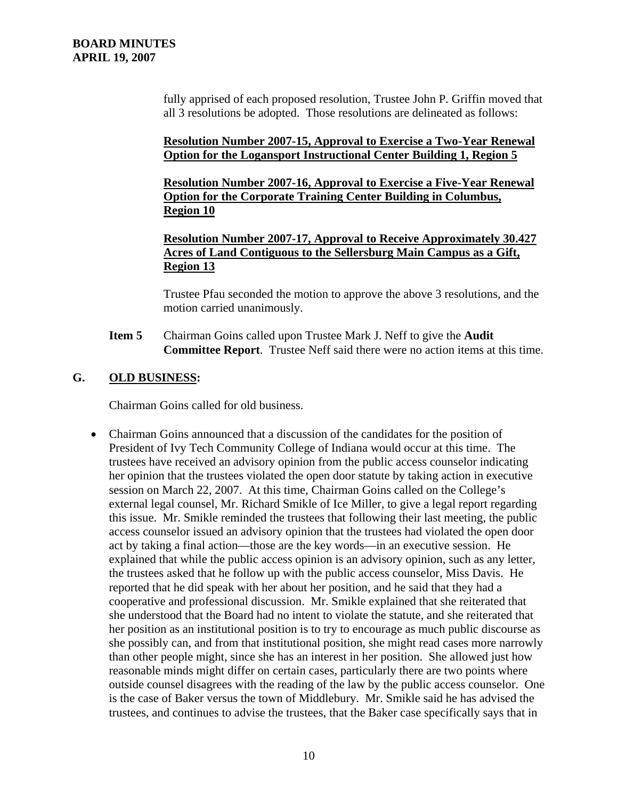fully apprised of each proposed resolution, Trustee John P. Griffin moved that all 3 resolutions be adopted. Those resolutions are delineated as follows:

## **Resolution Number 2007-15, Approval to Exercise a Two-Year Renewal Option for the Logansport Instructional Center Building 1, Region 5**

**Resolution Number 2007-16, Approval to Exercise a Five-Year Renewal Option for the Corporate Training Center Building in Columbus, Region 10**

**Resolution Number 2007-17, Approval to Receive Approximately 30.427 Acres of Land Contiguous to the Sellersburg Main Campus as a Gift, Region 13**

Trustee Pfau seconded the motion to approve the above 3 resolutions, and the motion carried unanimously.

**Item 5** Chairman Goins called upon Trustee Mark J. Neff to give the **Audit Committee Report**. Trustee Neff said there were no action items at this time.

## **G. OLD BUSINESS:**

Chairman Goins called for old business.

• Chairman Goins announced that a discussion of the candidates for the position of President of Ivy Tech Community College of Indiana would occur at this time. The trustees have received an advisory opinion from the public access counselor indicating her opinion that the trustees violated the open door statute by taking action in executive session on March 22, 2007. At this time, Chairman Goins called on the College's external legal counsel, Mr. Richard Smikle of Ice Miller, to give a legal report regarding this issue. Mr. Smikle reminded the trustees that following their last meeting, the public access counselor issued an advisory opinion that the trustees had violated the open door act by taking a final action—those are the key words—in an executive session. He explained that while the public access opinion is an advisory opinion, such as any letter, the trustees asked that he follow up with the public access counselor, Miss Davis. He reported that he did speak with her about her position, and he said that they had a cooperative and professional discussion. Mr. Smikle explained that she reiterated that she understood that the Board had no intent to violate the statute, and she reiterated that her position as an institutional position is to try to encourage as much public discourse as she possibly can, and from that institutional position, she might read cases more narrowly than other people might, since she has an interest in her position. She allowed just how reasonable minds might differ on certain cases, particularly there are two points where outside counsel disagrees with the reading of the law by the public access counselor. One is the case of Baker versus the town of Middlebury. Mr. Smikle said he has advised the trustees, and continues to advise the trustees, that the Baker case specifically says that in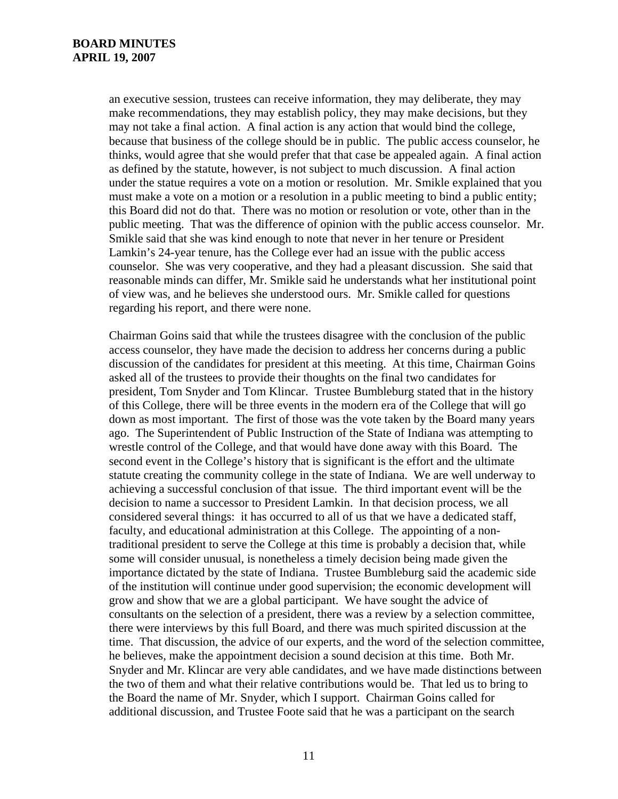an executive session, trustees can receive information, they may deliberate, they may make recommendations, they may establish policy, they may make decisions, but they may not take a final action. A final action is any action that would bind the college, because that business of the college should be in public. The public access counselor, he thinks, would agree that she would prefer that that case be appealed again. A final action as defined by the statute, however, is not subject to much discussion. A final action under the statue requires a vote on a motion or resolution. Mr. Smikle explained that you must make a vote on a motion or a resolution in a public meeting to bind a public entity; this Board did not do that. There was no motion or resolution or vote, other than in the public meeting. That was the difference of opinion with the public access counselor. Mr. Smikle said that she was kind enough to note that never in her tenure or President Lamkin's 24-year tenure, has the College ever had an issue with the public access counselor. She was very cooperative, and they had a pleasant discussion. She said that reasonable minds can differ, Mr. Smikle said he understands what her institutional point of view was, and he believes she understood ours. Mr. Smikle called for questions regarding his report, and there were none.

Chairman Goins said that while the trustees disagree with the conclusion of the public access counselor, they have made the decision to address her concerns during a public discussion of the candidates for president at this meeting. At this time, Chairman Goins asked all of the trustees to provide their thoughts on the final two candidates for president, Tom Snyder and Tom Klincar. Trustee Bumbleburg stated that in the history of this College, there will be three events in the modern era of the College that will go down as most important. The first of those was the vote taken by the Board many years ago. The Superintendent of Public Instruction of the State of Indiana was attempting to wrestle control of the College, and that would have done away with this Board. The second event in the College's history that is significant is the effort and the ultimate statute creating the community college in the state of Indiana. We are well underway to achieving a successful conclusion of that issue. The third important event will be the decision to name a successor to President Lamkin. In that decision process, we all considered several things: it has occurred to all of us that we have a dedicated staff, faculty, and educational administration at this College. The appointing of a nontraditional president to serve the College at this time is probably a decision that, while some will consider unusual, is nonetheless a timely decision being made given the importance dictated by the state of Indiana. Trustee Bumbleburg said the academic side of the institution will continue under good supervision; the economic development will grow and show that we are a global participant. We have sought the advice of consultants on the selection of a president, there was a review by a selection committee, there were interviews by this full Board, and there was much spirited discussion at the time. That discussion, the advice of our experts, and the word of the selection committee, he believes, make the appointment decision a sound decision at this time. Both Mr. Snyder and Mr. Klincar are very able candidates, and we have made distinctions between the two of them and what their relative contributions would be. That led us to bring to the Board the name of Mr. Snyder, which I support. Chairman Goins called for additional discussion, and Trustee Foote said that he was a participant on the search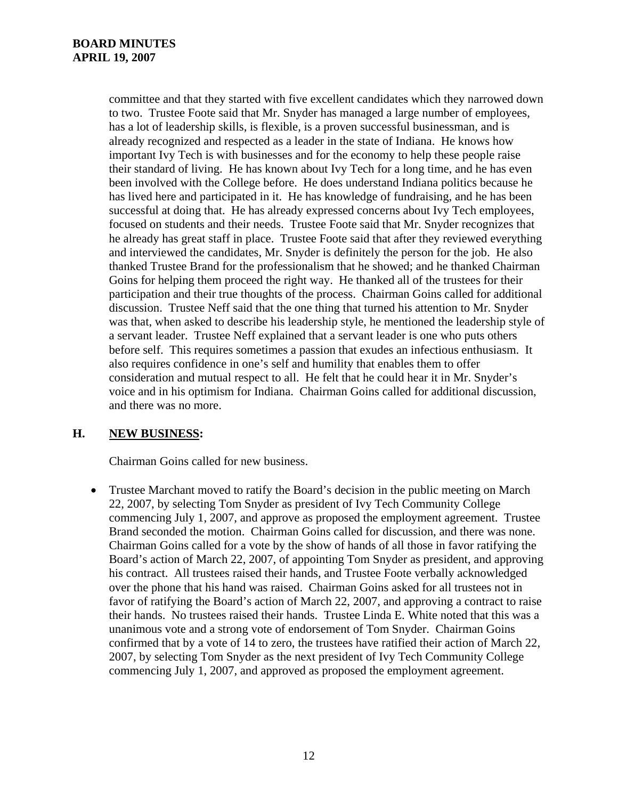committee and that they started with five excellent candidates which they narrowed down to two. Trustee Foote said that Mr. Snyder has managed a large number of employees, has a lot of leadership skills, is flexible, is a proven successful businessman, and is already recognized and respected as a leader in the state of Indiana. He knows how important Ivy Tech is with businesses and for the economy to help these people raise their standard of living. He has known about Ivy Tech for a long time, and he has even been involved with the College before. He does understand Indiana politics because he has lived here and participated in it. He has knowledge of fundraising, and he has been successful at doing that. He has already expressed concerns about Ivy Tech employees, focused on students and their needs. Trustee Foote said that Mr. Snyder recognizes that he already has great staff in place. Trustee Foote said that after they reviewed everything and interviewed the candidates, Mr. Snyder is definitely the person for the job. He also thanked Trustee Brand for the professionalism that he showed; and he thanked Chairman Goins for helping them proceed the right way. He thanked all of the trustees for their participation and their true thoughts of the process. Chairman Goins called for additional discussion. Trustee Neff said that the one thing that turned his attention to Mr. Snyder was that, when asked to describe his leadership style, he mentioned the leadership style of a servant leader. Trustee Neff explained that a servant leader is one who puts others before self. This requires sometimes a passion that exudes an infectious enthusiasm. It also requires confidence in one's self and humility that enables them to offer consideration and mutual respect to all. He felt that he could hear it in Mr. Snyder's voice and in his optimism for Indiana. Chairman Goins called for additional discussion, and there was no more.

## **H. NEW BUSINESS:**

Chairman Goins called for new business.

• Trustee Marchant moved to ratify the Board's decision in the public meeting on March 22, 2007, by selecting Tom Snyder as president of Ivy Tech Community College commencing July 1, 2007, and approve as proposed the employment agreement. Trustee Brand seconded the motion. Chairman Goins called for discussion, and there was none. Chairman Goins called for a vote by the show of hands of all those in favor ratifying the Board's action of March 22, 2007, of appointing Tom Snyder as president, and approving his contract. All trustees raised their hands, and Trustee Foote verbally acknowledged over the phone that his hand was raised. Chairman Goins asked for all trustees not in favor of ratifying the Board's action of March 22, 2007, and approving a contract to raise their hands. No trustees raised their hands. Trustee Linda E. White noted that this was a unanimous vote and a strong vote of endorsement of Tom Snyder. Chairman Goins confirmed that by a vote of 14 to zero, the trustees have ratified their action of March 22, 2007, by selecting Tom Snyder as the next president of Ivy Tech Community College commencing July 1, 2007, and approved as proposed the employment agreement.